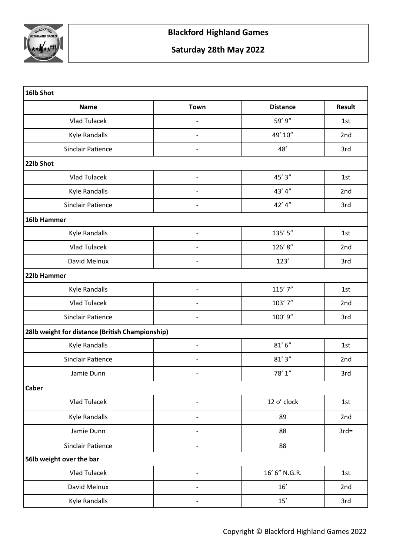

| 16lb Shot                                       |                              |                                 |               |
|-------------------------------------------------|------------------------------|---------------------------------|---------------|
| <b>Name</b>                                     | <b>Town</b>                  | <b>Distance</b>                 | <b>Result</b> |
| <b>Vlad Tulacek</b>                             |                              | 59' 9"                          | 1st           |
| Kyle Randalls                                   |                              | 49' 10"                         | 2nd           |
| <b>Sinclair Patience</b>                        | $\overline{\phantom{a}}$     | 48'                             | 3rd           |
| 22lb Shot                                       |                              |                                 |               |
| Vlad Tulacek                                    |                              | 45' 3"                          | 1st           |
| Kyle Randalls                                   |                              | 43' 4"                          | 2nd           |
| <b>Sinclair Patience</b>                        | $\qquad \qquad -$            | 42' 4''                         | 3rd           |
| 16lb Hammer                                     |                              |                                 |               |
| Kyle Randalls                                   |                              | 135' 5"                         | 1st           |
| <b>Vlad Tulacek</b>                             |                              | 126'8"                          | 2nd           |
| David Melnux                                    |                              | 123'                            | 3rd           |
| 22lb Hammer                                     |                              |                                 |               |
| Kyle Randalls                                   |                              | 115'7"                          | 1st           |
| Vlad Tulacek                                    |                              | 103' 7"                         | 2nd           |
| Sinclair Patience                               |                              | $100^\prime$ $9^{\prime\prime}$ | 3rd           |
| 28lb weight for distance (British Championship) |                              |                                 |               |
| Kyle Randalls                                   | $\overline{a}$               | $81'$ $6''$                     | 1st           |
| <b>Sinclair Patience</b>                        |                              | 81'3''                          | 2nd           |
| Jamie Dunn                                      |                              | 78' 1''                         | 3rd           |
| <b>Caber</b>                                    |                              |                                 |               |
| Vlad Tulacek                                    |                              | 12 o' clock                     | 1st           |
| <b>Kyle Randalls</b>                            |                              | 89                              | 2nd           |
| Jamie Dunn                                      |                              | 88                              | $3rd=$        |
| <b>Sinclair Patience</b>                        | $\qquad \qquad \blacksquare$ | 88                              |               |
| 56lb weight over the bar                        |                              |                                 |               |
| <b>Vlad Tulacek</b>                             |                              | 16' 6" N.G.R.                   | 1st           |
| David Melnux                                    |                              | $16'$                           | 2nd           |
| Kyle Randalls                                   | $\overline{\phantom{0}}$     | $15'$                           | 3rd           |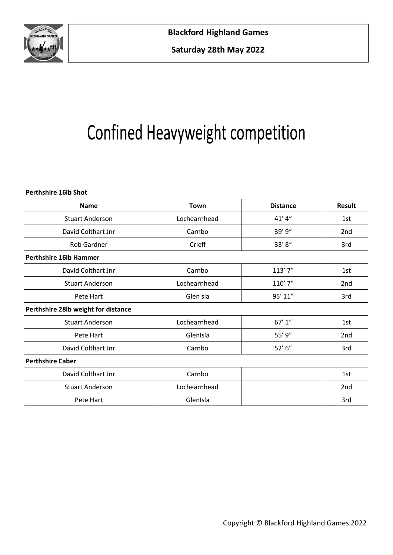

# Confined Heavyweight competition

| <b>Perthshire 16lb Shot</b>         |              |                 |                 |
|-------------------------------------|--------------|-----------------|-----------------|
| <b>Name</b>                         | <b>Town</b>  | <b>Distance</b> | <b>Result</b>   |
| <b>Stuart Anderson</b>              | Lochearnhead | 41'4''          | 1st             |
| David Colthart Jnr                  | Carnbo       | 39' 9"          | 2 <sub>nd</sub> |
| Rob Gardner                         | Crieff       | 33' 8"          | 3rd             |
| <b>Perthshire 16lb Hammer</b>       |              |                 |                 |
| David Colthart Jnr                  | Carnbo       | 113'7"          | 1st             |
| <b>Stuart Anderson</b>              | Lochearnhead | 110' 7"         | 2 <sub>nd</sub> |
| Pete Hart                           | Glen sla     | 95' 11"         | 3rd             |
| Perthshire 28lb weight for distance |              |                 |                 |
| <b>Stuart Anderson</b>              | Lochearnhead | 67' 1''         | 1st             |
| Pete Hart                           | GlenIsla     | 55' 9"          | 2 <sub>nd</sub> |
| David Colthart Jnr                  | Carnbo       | 52' 6''         | 3rd             |
| <b>Perthshire Caber</b>             |              |                 |                 |
| David Colthart Jnr                  | Carnbo       |                 | 1st             |
| <b>Stuart Anderson</b>              | Lochearnhead |                 | 2 <sub>nd</sub> |
| Pete Hart                           | GlenIsla     |                 | 3rd             |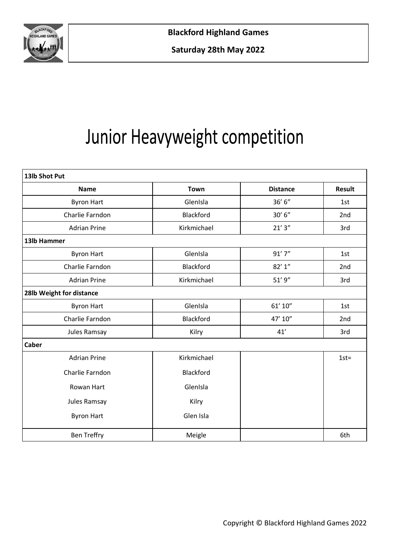

# Junior Heavyweight competition

| 13lb Shot Put            |             |                 |               |
|--------------------------|-------------|-----------------|---------------|
| <b>Name</b>              | <b>Town</b> | <b>Distance</b> | <b>Result</b> |
| <b>Byron Hart</b>        | GlenIsla    | 36' 6"          | 1st           |
| Charlie Farndon          | Blackford   | 30' 6''         | 2nd           |
| <b>Adrian Prine</b>      | Kirkmichael | 21'3''          | 3rd           |
| 13lb Hammer              |             |                 |               |
| <b>Byron Hart</b>        | GlenIsla    | 91'7''          | 1st           |
| Charlie Farndon          | Blackford   | 82'1''          | 2nd           |
| <b>Adrian Prine</b>      | Kirkmichael | 51'9''          | 3rd           |
| 28lb Weight for distance |             |                 |               |
| <b>Byron Hart</b>        | GlenIsla    | 61'10''         | 1st           |
| Charlie Farndon          | Blackford   | 47' 10"         | 2nd           |
| Jules Ramsay             | Kilry       | 41'             | 3rd           |
| Caber                    |             |                 |               |
| <b>Adrian Prine</b>      | Kirkmichael |                 | $1st =$       |
| Charlie Farndon          | Blackford   |                 |               |
| Rowan Hart               | GlenIsla    |                 |               |
| Jules Ramsay             | Kilry       |                 |               |
| <b>Byron Hart</b>        | Glen Isla   |                 |               |
| <b>Ben Treffry</b>       | Meigle      |                 | 6th           |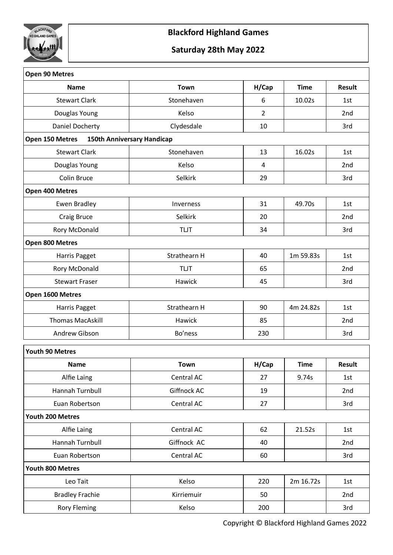

| Open 90 Metres                                       |              |                |             |               |
|------------------------------------------------------|--------------|----------------|-------------|---------------|
| <b>Name</b>                                          | <b>Town</b>  | H/Cap          | <b>Time</b> | Result        |
| <b>Stewart Clark</b>                                 | Stonehaven   | 6              | 10.02s      | 1st           |
| Douglas Young                                        | Kelso        | $\overline{2}$ |             | 2nd           |
| Daniel Docherty                                      | Clydesdale   | 10             |             | 3rd           |
| <b>150th Anniversary Handicap</b><br>Open 150 Metres |              |                |             |               |
| <b>Stewart Clark</b>                                 | Stonehaven   | 13             | 16.02s      | 1st           |
| Douglas Young                                        | Kelso        | 4              |             | 2nd           |
| Colin Bruce                                          | Selkirk      | 29             |             | 3rd           |
| Open 400 Metres                                      |              |                |             |               |
| <b>Ewen Bradley</b>                                  | Inverness    | 31             | 49.70s      | 1st           |
| Craig Bruce                                          | Selkirk      | 20             |             | 2nd           |
| Rory McDonald                                        | <b>TLJT</b>  | 34             |             | 3rd           |
| Open 800 Metres                                      |              |                |             |               |
| Harris Pagget                                        | Strathearn H | 40             | 1m 59.83s   | 1st           |
| Rory McDonald                                        | <b>TLJT</b>  | 65             |             | 2nd           |
| <b>Stewart Fraser</b>                                | Hawick       | 45             |             | 3rd           |
| Open 1600 Metres                                     |              |                |             |               |
| Harris Pagget                                        | Strathearn H | 90             | 4m 24.82s   | 1st           |
| <b>Thomas MacAskill</b>                              | Hawick       | 85             |             | 2nd           |
| Andrew Gibson                                        | Bo'ness      | 230            |             | 3rd           |
| <b>Youth 90 Metres</b>                               |              |                |             |               |
| Name                                                 | Town         | H/Cap          | <b>Time</b> | <b>Result</b> |
| Alfie Laing                                          | Central AC   | 27             | 9.74s       | 1st           |
| Hannah Turnbull                                      | Giffnock AC  | 19             |             | 2nd           |
| Euan Robertson                                       | Central AC   | 27             |             | 3rd           |
| Youth 200 Metres                                     |              |                |             |               |
| Alfie Laing                                          | Central AC   | 62             | 21.52s      | 1st           |
| Hannah Turnbull                                      | Giffnock AC  | 40             |             | 2nd           |
| Euan Robertson                                       | Central AC   | 60             |             | 3rd           |
| Youth 800 Metres                                     |              |                |             |               |
| Leo Tait                                             | Kelso        | 220            | 2m 16.72s   | 1st           |
| <b>Bradley Frachie</b>                               | Kirriemuir   | 50             |             | 2nd           |
| <b>Rory Fleming</b>                                  | Kelso        | 200            |             | 3rd           |

Copyright © Blackford Highland Games 2022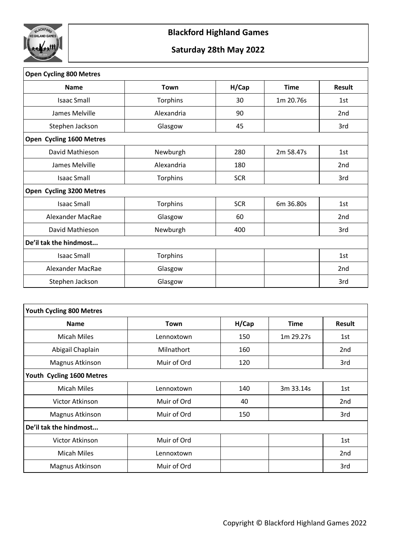

| <b>Open Cycling 800 Metres</b> |             |            |             |                 |
|--------------------------------|-------------|------------|-------------|-----------------|
| <b>Name</b>                    | <b>Town</b> | H/Cap      | <b>Time</b> | <b>Result</b>   |
| <b>Isaac Small</b>             | Torphins    | 30         | 1m 20.76s   | 1st             |
| James Melville                 | Alexandria  | 90         |             | 2nd             |
| Stephen Jackson                | Glasgow     | 45         |             | 3rd             |
| Open Cycling 1600 Metres       |             |            |             |                 |
| David Mathieson                | Newburgh    | 280        | 2m 58.47s   | 1st             |
| James Melville                 | Alexandria  | 180        |             | 2 <sub>nd</sub> |
| <b>Isaac Small</b>             | Torphins    | <b>SCR</b> |             | 3rd             |
| Open Cycling 3200 Metres       |             |            |             |                 |
| <b>Isaac Small</b>             | Torphins    | <b>SCR</b> | 6m 36.80s   | 1st             |
| <b>Alexander MacRae</b>        | Glasgow     | 60         |             | 2nd             |
| David Mathieson                | Newburgh    | 400        |             | 3rd             |
| De'il tak the hindmost         |             |            |             |                 |
| <b>Isaac Small</b>             | Torphins    |            |             | 1st             |
| Alexander MacRae               | Glasgow     |            |             | 2nd             |
| Stephen Jackson                | Glasgow     |            |             | 3rd             |

| Youth Cycling 800 Metres  |             |       |             |               |
|---------------------------|-------------|-------|-------------|---------------|
| <b>Name</b>               | Town        | H/Cap | <b>Time</b> | <b>Result</b> |
| <b>Micah Miles</b>        | Lennoxtown  | 150   | 1m 29.27s   | 1st           |
| Abigail Chaplain          | Milnathort  | 160   |             | 2nd           |
| Magnus Atkinson           | Muir of Ord | 120   |             | 3rd           |
| Youth Cycling 1600 Metres |             |       |             |               |
| <b>Micah Miles</b>        | Lennoxtown  | 140   | 3m 33.14s   | 1st           |
| Victor Atkinson           | Muir of Ord | 40    |             | 2nd           |
| Magnus Atkinson           | Muir of Ord | 150   |             | 3rd           |
| De'il tak the hindmost    |             |       |             |               |
| Victor Atkinson           | Muir of Ord |       |             | 1st           |
| <b>Micah Miles</b>        | Lennoxtown  |       |             | 2nd           |
| Magnus Atkinson           | Muir of Ord |       |             | 3rd           |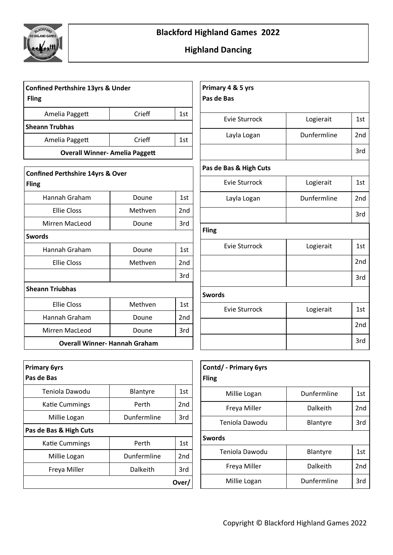

| <b>Confined Perthshire 13yrs &amp; Under</b><br><b>Fling</b> |        |     |
|--------------------------------------------------------------|--------|-----|
| Amelia Paggett                                               | Crieff | 1st |
| <b>Sheann Trubhas</b>                                        |        |     |
| Crieff<br>Amelia Paggett<br>1st                              |        |     |
| <b>Overall Winner-Amelia Paggett</b>                         |        |     |

| <b>Confined Perthshire 14yrs &amp; Over</b><br><b>Fling</b> |         |     |
|-------------------------------------------------------------|---------|-----|
| Hannah Graham                                               | Doune   | 1st |
| Ellie Closs                                                 | Methven | 2nd |
| Mirren MacLeod                                              | Doune   | 3rd |
| <b>Swords</b>                                               |         |     |
| Hannah Graham                                               | Doune   | 1st |
| Ellie Closs                                                 | Methven | 2nd |
|                                                             |         | 3rd |
| <b>Sheann Triubhas</b>                                      |         |     |
| <b>Ellie Closs</b>                                          | Methven | 1st |
| Hannah Graham                                               | Doune   | 2nd |
| Mirren MacLeod                                              | Doune   | 3rd |
| <b>Overall Winner- Hannah Graham</b>                        |         |     |

| <b>Primary 6yrs</b><br>Pas de Bas |             |                 |
|-----------------------------------|-------------|-----------------|
| Teniola Dawodu                    | Blantyre    | 1st             |
| Katie Cummings                    | Perth       | 2 <sub>nd</sub> |
| Millie Logan                      | Dunfermline | 3rd             |
| Pas de Bas & High Cuts            |             |                 |
| Katie Cummings                    | Perth       | 1st             |
| Millie Logan                      | Dunfermline | 2 <sub>nd</sub> |
| Freya Miller                      | Dalkeith    | 3rd             |
|                                   |             | Over/           |

| Primary 4 & 5 yrs<br>Pas de Bas |             |                 |
|---------------------------------|-------------|-----------------|
| <b>Evie Sturrock</b>            | Logierait   | 1st             |
| Layla Logan                     | Dunfermline | 2nd             |
|                                 |             | 3rd             |
| Pas de Bas & High Cuts          |             |                 |
| Evie Sturrock                   | Logierait   | 1st             |
| Layla Logan                     | Dunfermline | 2 <sub>nd</sub> |
|                                 |             | 3rd             |
| <b>Fling</b>                    |             |                 |
| <b>Evie Sturrock</b>            | Logierait   | 1st             |
|                                 |             | 2nd             |
|                                 |             | 3rd             |
| <b>Swords</b>                   |             |                 |
| <b>Evie Sturrock</b>            | Logierait   | 1st             |
|                                 |             | 2nd             |
|                                 |             | 3rd             |

| Contd/ - Primary 6yrs<br><b>Fling</b> |                 |                 |
|---------------------------------------|-----------------|-----------------|
| Millie Logan                          | Dunfermline     | 1st             |
| Freya Miller                          | Dalkeith        | 2 <sub>nd</sub> |
| Teniola Dawodu                        | Blantyre        | 3rd             |
| <b>Swords</b>                         |                 |                 |
| Teniola Dawodu                        | Blantyre        | 1st             |
| Freya Miller                          | <b>Dalkeith</b> | 2nd             |
| Millie Logan                          | Dunfermline     | 3rd             |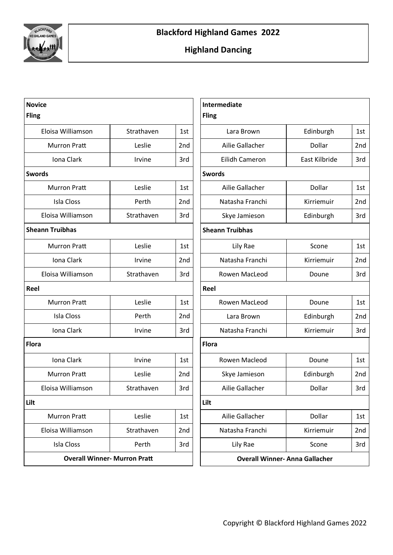

| <b>Novice</b>                       |            |                 |  |
|-------------------------------------|------------|-----------------|--|
| <b>Fling</b>                        |            |                 |  |
| Eloisa Williamson                   | Strathaven | 1st             |  |
| Murron Pratt                        | Leslie     | 2nd             |  |
| Iona Clark                          | Irvine     | 3rd             |  |
| <b>Swords</b>                       |            |                 |  |
| <b>Murron Pratt</b>                 | Leslie     | 1st             |  |
| <b>Isla Closs</b>                   | Perth      | 2 <sub>nd</sub> |  |
| Eloisa Williamson                   | Strathaven | 3rd             |  |
| <b>Sheann Truibhas</b>              |            |                 |  |
| <b>Murron Pratt</b>                 | Leslie     | 1st             |  |
| <b>Iona Clark</b>                   | Irvine     | 2 <sub>nd</sub> |  |
| Eloisa Williamson                   | Strathaven | 3rd             |  |
| Reel                                |            |                 |  |
| <b>Murron Pratt</b>                 | Leslie     | 1st             |  |
| <b>Isla Closs</b>                   | Perth      | 2nd             |  |
| <b>Iona Clark</b>                   | Irvine     | 3rd             |  |
| <b>Flora</b>                        |            |                 |  |
| Iona Clark                          | Irvine     | 1st             |  |
| <b>Murron Pratt</b>                 | Leslie     | 2nd             |  |
| Eloisa Williamson                   | Strathaven | 3rd             |  |
| Lilt                                |            |                 |  |
| <b>Murron Pratt</b>                 | Leslie     | 1st             |  |
| Eloisa Williamson                   | Strathaven | 2nd             |  |
| <b>Isla Closs</b>                   | Perth      | 3rd             |  |
| <b>Overall Winner- Murron Pratt</b> |            |                 |  |

| Intermediate                         |               |                 |
|--------------------------------------|---------------|-----------------|
| <b>Fling</b>                         |               |                 |
| Lara Brown                           | Edinburgh     | 1st             |
| Ailie Gallacher                      | Dollar        | 2nd             |
| Eilidh Cameron                       | East Kilbride | 3rd             |
| <b>Swords</b>                        |               |                 |
| Ailie Gallacher                      | Dollar        | 1st             |
| Natasha Franchi                      | Kirriemuir    | 2nd             |
| Skye Jamieson                        | Edinburgh     | 3rd             |
| <b>Sheann Truibhas</b>               |               |                 |
| Lily Rae                             | Scone         | 1st             |
| Natasha Franchi                      | Kirriemuir    | 2nd             |
| Rowen MacLeod                        | Doune         | 3rd             |
| Reel                                 |               |                 |
| Rowen MacLeod                        | Doune         | 1st             |
| Lara Brown                           | Edinburgh     | 2nd             |
| Natasha Franchi                      | Kirriemuir    | 3rd             |
| <b>Flora</b>                         |               |                 |
| Rowen Macleod                        | Doune         | 1st             |
| Skye Jamieson                        | Edinburgh     | 2 <sub>nd</sub> |
| Ailie Gallacher                      | Dollar        | 3rd             |
| Lilt                                 |               |                 |
| Ailie Gallacher                      | Dollar        | 1st             |
| Natasha Franchi                      | Kirriemuir    | 2nd             |
| Lily Rae                             | Scone         | 3rd             |
| <b>Overall Winner-Anna Gallacher</b> |               |                 |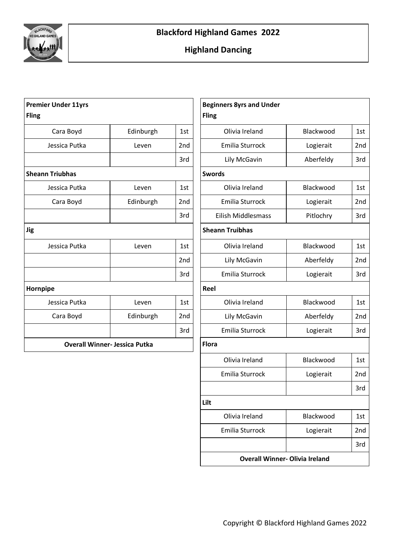

| <b>Premier Under 11yrs</b> |                                      |                 |
|----------------------------|--------------------------------------|-----------------|
| <b>Fling</b>               |                                      |                 |
| Cara Boyd                  | Edinburgh                            | 1st             |
| Jessica Putka              | Leven                                | 2 <sub>nd</sub> |
|                            |                                      | 3rd             |
| <b>Sheann Triubhas</b>     |                                      |                 |
| Jessica Putka              | Leven                                | 1st             |
| Cara Boyd                  | Edinburgh                            | 2nd             |
|                            |                                      | 3rd             |
| <b>Jig</b>                 |                                      |                 |
| Jessica Putka              | Leven                                | 1st             |
|                            |                                      | 2 <sub>nd</sub> |
|                            |                                      | 3rd             |
| Hornpipe                   |                                      |                 |
| Jessica Putka              | Leven                                | 1st             |
| Cara Boyd                  | Edinburgh                            | 2 <sub>nd</sub> |
|                            |                                      | 3rd             |
|                            | <b>Overall Winner- Jessica Putka</b> |                 |

| <b>Beginners 8yrs and Under</b>       |     |  |  |
|---------------------------------------|-----|--|--|
|                                       |     |  |  |
| Blackwood                             | 1st |  |  |
| Logierait                             | 2nd |  |  |
| Aberfeldy                             | 3rd |  |  |
|                                       |     |  |  |
| Blackwood                             | 1st |  |  |
| Logierait                             | 2nd |  |  |
| Pitlochry                             | 3rd |  |  |
|                                       |     |  |  |
| Blackwood                             | 1st |  |  |
| Aberfeldy                             | 2nd |  |  |
| Logierait                             | 3rd |  |  |
|                                       |     |  |  |
| Blackwood                             | 1st |  |  |
| Aberfeldy                             | 2nd |  |  |
| Logierait                             | 3rd |  |  |
|                                       |     |  |  |
| Blackwood                             | 1st |  |  |
| Logierait                             | 2nd |  |  |
|                                       | 3rd |  |  |
|                                       |     |  |  |
| Blackwood                             | 1st |  |  |
| Logierait                             | 2nd |  |  |
|                                       | 3rd |  |  |
| <b>Overall Winner- Olivia Ireland</b> |     |  |  |
|                                       |     |  |  |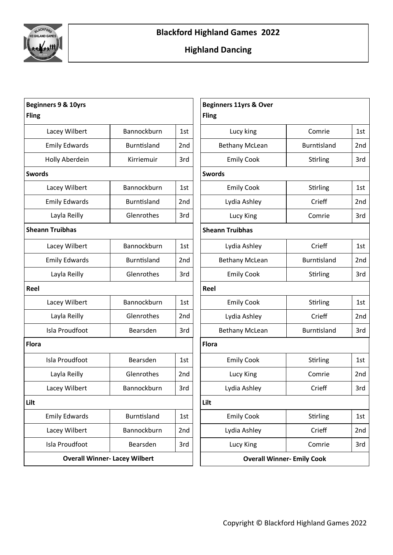

| <b>Beginners 9 &amp; 10yrs</b><br><b>Fling</b> |                                      |                 |
|------------------------------------------------|--------------------------------------|-----------------|
| Lacey Wilbert                                  | Bannockburn                          | 1st             |
| <b>Emily Edwards</b>                           | <b>Burntisland</b>                   | 2nd             |
| Holly Aberdein                                 | Kirriemuir                           | 3rd             |
| <b>Swords</b>                                  |                                      |                 |
| Lacey Wilbert                                  | Bannockburn                          | 1st             |
| <b>Emily Edwards</b>                           | <b>Burntisland</b>                   | 2 <sub>nd</sub> |
| Layla Reilly                                   | Glenrothes                           | 3rd             |
| <b>Sheann Truibhas</b>                         |                                      |                 |
| Lacey Wilbert                                  | Bannockburn                          | 1st             |
| <b>Emily Edwards</b>                           | <b>Burntisland</b>                   | 2nd             |
| Layla Reilly                                   | Glenrothes                           | 3rd             |
| Reel                                           |                                      |                 |
| Lacey Wilbert                                  | Bannockburn                          | 1st             |
| Layla Reilly                                   | Glenrothes                           | 2nd             |
| Isla Proudfoot                                 | Bearsden                             | 3rd             |
| <b>Flora</b>                                   |                                      |                 |
| Isla Proudfoot                                 | Bearsden                             | 1st             |
| Layla Reilly                                   | Glenrothes                           | 2 <sub>nd</sub> |
| Lacey Wilbert                                  | Bannockburn                          | 3rd             |
| Lilt                                           |                                      |                 |
| <b>Emily Edwards</b>                           | <b>Burntisland</b>                   | 1st             |
| Lacey Wilbert                                  | Bannockburn                          | 2nd             |
| Isla Proudfoot                                 | Bearsden                             | 3rd             |
|                                                | <b>Overall Winner- Lacey Wilbert</b> |                 |

| <b>Beginners 11yrs &amp; Over</b><br><b>Fling</b> |                    |     |
|---------------------------------------------------|--------------------|-----|
| Lucy king                                         | Comrie             | 1st |
| <b>Bethany McLean</b>                             | <b>Burntisland</b> | 2nd |
| <b>Emily Cook</b>                                 | Stirling           | 3rd |
| <b>Swords</b>                                     |                    |     |
| <b>Emily Cook</b>                                 | Stirling           | 1st |
| Lydia Ashley                                      | Crieff             | 2nd |
| Lucy King                                         | Comrie             | 3rd |
| <b>Sheann Truibhas</b>                            |                    |     |
| Lydia Ashley                                      | Crieff             | 1st |
| <b>Bethany McLean</b>                             | <b>Burntisland</b> | 2nd |
| <b>Emily Cook</b>                                 | Stirling           | 3rd |
| Reel                                              |                    |     |
| <b>Emily Cook</b>                                 | Stirling           | 1st |
| Lydia Ashley                                      | Crieff             | 2nd |
| <b>Bethany McLean</b>                             | <b>Burntisland</b> | 3rd |
| <b>Flora</b>                                      |                    |     |
| <b>Emily Cook</b>                                 | Stirling           | 1st |
| Lucy King                                         | Comrie             | 2nd |
| Lydia Ashley                                      | Crieff             | 3rd |
| Lilt                                              |                    |     |
| <b>Emily Cook</b>                                 | Stirling           | 1st |
| Lydia Ashley                                      | Crieff             | 2nd |
| Lucy King                                         | Comrie             | 3rd |
| <b>Overall Winner- Emily Cook</b>                 |                    |     |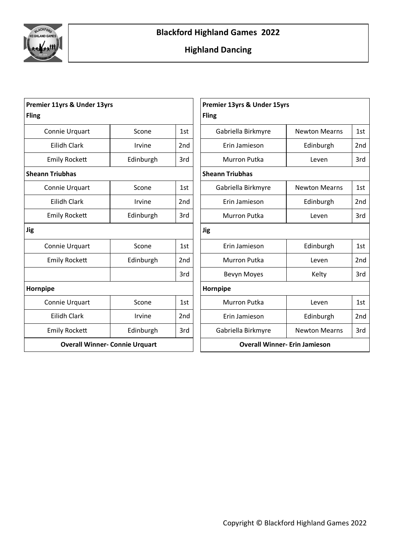

| Premier 11yrs & Under 13yrs<br><b>Fling</b> |           |                 | Premier 13yrs & Under 15yrs<br><b>Fling</b> |                      |                 |
|---------------------------------------------|-----------|-----------------|---------------------------------------------|----------------------|-----------------|
| Connie Urquart                              | Scone     | 1st             | Gabriella Birkmyre                          | <b>Newton Mearns</b> | 1st             |
| <b>Eilidh Clark</b>                         | Irvine    | 2nd             | Erin Jamieson                               | Edinburgh            | 2nd             |
| <b>Emily Rockett</b>                        | Edinburgh | 3rd             | <b>Murron Putka</b>                         | Leven                | 3rd             |
| <b>Sheann Triubhas</b>                      |           |                 | <b>Sheann Triubhas</b>                      |                      |                 |
| Connie Urquart                              | Scone     | 1st             | Gabriella Birkmyre                          | <b>Newton Mearns</b> | 1st             |
| Eilidh Clark                                | Irvine    | 2nd             | Erin Jamieson                               | Edinburgh            | 2 <sub>nd</sub> |
| <b>Emily Rockett</b>                        | Edinburgh | 3rd             | Murron Putka                                | Leven                | 3rd             |
| <b>Jig</b>                                  |           |                 | <b>Jig</b>                                  |                      |                 |
| Connie Urquart                              | Scone     | 1st             | Erin Jamieson                               | Edinburgh            | 1st             |
| <b>Emily Rockett</b>                        | Edinburgh | 2 <sub>nd</sub> | <b>Murron Putka</b>                         | Leven                | 2 <sub>nd</sub> |
|                                             |           | 3rd             | Bevyn Moyes                                 | Kelty                | 3rd             |
| Hornpipe                                    |           |                 | Hornpipe                                    |                      |                 |
| Connie Urquart                              | Scone     | 1st             | <b>Murron Putka</b>                         | Leven                | 1st             |
| <b>Eilidh Clark</b>                         | Irvine    | 2nd             | Erin Jamieson                               | Edinburgh            | 2 <sub>nd</sub> |
| <b>Emily Rockett</b>                        | Edinburgh | 3rd             | Gabriella Birkmyre                          | <b>Newton Mearns</b> | 3rd             |
| <b>Overall Winner- Connie Urquart</b>       |           |                 | <b>Overall Winner- Erin Jamieson</b>        |                      |                 |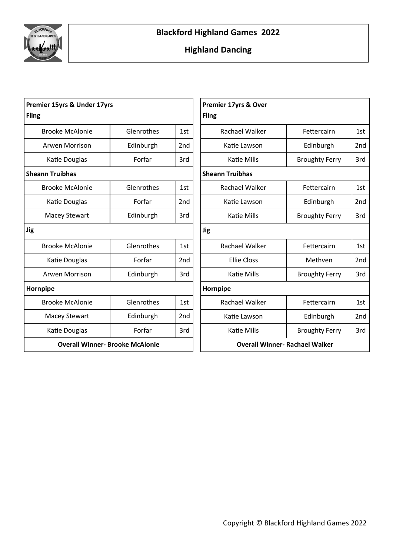

| Premier 15yrs & Under 17yrs<br><b>Fling</b> |            |                 | <b>Premier 17yrs &amp; Over</b><br><b>Fling</b> |
|---------------------------------------------|------------|-----------------|-------------------------------------------------|
| <b>Brooke McAlonie</b>                      | Glenrothes | 1st             | Rachael Walker                                  |
| <b>Arwen Morrison</b>                       | Edinburgh  | 2 <sub>nd</sub> | Katie Lawson                                    |
| Katie Douglas                               | Forfar     | 3rd             | Katie Mills                                     |
| <b>Sheann Truibhas</b>                      |            |                 | <b>Sheann Truibhas</b>                          |
| <b>Brooke McAlonie</b>                      | Glenrothes | 1st             | Rachael Walker                                  |
| Katie Douglas                               | Forfar     | 2 <sub>nd</sub> | Katie Lawson                                    |
| <b>Macey Stewart</b>                        | Edinburgh  | 3rd             | Katie Mills                                     |
| <b>Jig</b>                                  |            |                 | <b>Jig</b>                                      |
| <b>Brooke McAlonie</b>                      | Glenrothes | 1st             | Rachael Walker                                  |
| Katie Douglas                               | Forfar     | 2nd             | <b>Ellie Closs</b>                              |
| Arwen Morrison                              | Edinburgh  | 3rd             | Katie Mills                                     |
| Hornpipe                                    |            |                 | Hornpipe                                        |
| <b>Brooke McAlonie</b>                      | Glenrothes | 1st             | Rachael Walker                                  |
| <b>Macey Stewart</b>                        | Edinburgh  | 2 <sub>nd</sub> | Katie Lawson                                    |
| Katie Douglas                               | Forfar     | 3rd             | Katie Mills                                     |
| <b>Overall Winner- Brooke McAlonie</b>      |            |                 | <b>Overall Winn</b>                             |

| <b>Premier 17yrs &amp; Over</b><br><b>Fling</b> |                       |                                       |  |  |  |
|-------------------------------------------------|-----------------------|---------------------------------------|--|--|--|
| <b>Rachael Walker</b>                           | Fettercairn           | 1st                                   |  |  |  |
| Katie Lawson                                    | Edinburgh             | 2 <sub>nd</sub>                       |  |  |  |
| Katie Mills                                     | <b>Broughty Ferry</b> | 3rd                                   |  |  |  |
| <b>Sheann Truibhas</b>                          |                       |                                       |  |  |  |
| <b>Rachael Walker</b>                           | Fettercairn           | 1st                                   |  |  |  |
| Katie Lawson                                    | Edinburgh             | 2 <sub>nd</sub>                       |  |  |  |
| Katie Mills                                     | <b>Broughty Ferry</b> | 3rd                                   |  |  |  |
| Jig                                             |                       |                                       |  |  |  |
| Rachael Walker                                  | Fettercairn           | 1st                                   |  |  |  |
| Ellie Closs                                     | Methven               | 2nd                                   |  |  |  |
| Katie Mills                                     | <b>Broughty Ferry</b> | 3rd                                   |  |  |  |
| Hornpipe                                        |                       |                                       |  |  |  |
| <b>Rachael Walker</b>                           | Fettercairn           | 1st                                   |  |  |  |
| Katie Lawson                                    | Edinburgh             | 2nd                                   |  |  |  |
| Katie Mills                                     | <b>Broughty Ferry</b> | 3rd                                   |  |  |  |
|                                                 |                       | <b>Overall Winner- Rachael Walker</b> |  |  |  |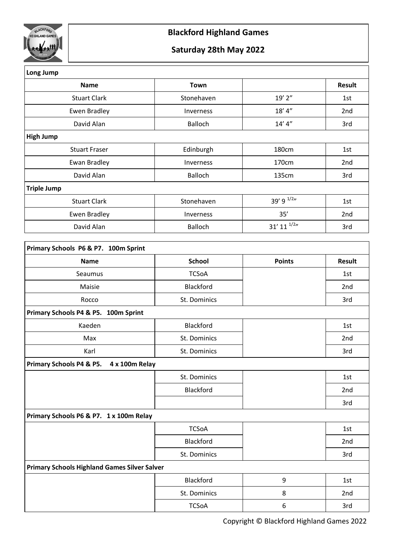

#### **Blackford Highland Games**

#### **Saturday 28th May 2022**

| Long Jump                                  |                |                    |               |
|--------------------------------------------|----------------|--------------------|---------------|
| <b>Name</b>                                | <b>Town</b>    |                    | <b>Result</b> |
| <b>Stuart Clark</b>                        | Stonehaven     | 19' 2"             | 1st           |
| <b>Ewen Bradley</b>                        | Inverness      | 18' 4''            | 2nd           |
| David Alan                                 | <b>Balloch</b> | 14' 4''            | 3rd           |
| <b>High Jump</b>                           |                |                    |               |
| <b>Stuart Fraser</b>                       | Edinburgh      | 180cm              | 1st           |
| <b>Ewan Bradley</b>                        | Inverness      | 170cm              | 2nd           |
| David Alan                                 | Balloch        | 135cm              | 3rd           |
| <b>Triple Jump</b>                         |                |                    |               |
| <b>Stuart Clark</b>                        | Stonehaven     | 39' 9 $1/2n$       | 1st           |
| <b>Ewen Bradley</b>                        | Inverness      | 35'                | 2nd           |
| David Alan                                 | <b>Balloch</b> | $31'$ 11 $^{1/2n}$ | 3rd           |
|                                            |                |                    |               |
| Primary Schools P6 & P7. 100m Sprint       |                |                    |               |
| <b>Name</b>                                | <b>School</b>  | <b>Points</b>      | <b>Result</b> |
| Seaumus                                    | <b>TCSoA</b>   |                    | 1st           |
| Maisie                                     | Blackford      |                    | 2nd           |
| Rocco                                      | St. Dominics   |                    | 3rd           |
| Primary Schools P4 & P5. 100m Sprint       |                |                    |               |
| Kaeden                                     | Blackford      |                    | 1st           |
| Max                                        | St. Dominics   |                    | 2nd           |
| Karl                                       | St. Dominics   |                    | 3rd           |
| Primary Schools P4 & P5.<br>4 x 100m Relay |                |                    |               |

|                                                     | St. Dominics |   | 1st |
|-----------------------------------------------------|--------------|---|-----|
|                                                     | Blackford    |   | 2nd |
|                                                     |              |   | 3rd |
| Primary Schools P6 & P7. 1 x 100m Relay             |              |   |     |
|                                                     | <b>TCSoA</b> |   | 1st |
|                                                     | Blackford    |   | 2nd |
|                                                     | St. Dominics |   | 3rd |
| <b>Primary Schools Highland Games Silver Salver</b> |              |   |     |
|                                                     | Blackford    | 9 | 1st |
|                                                     | St. Dominics | 8 | 2nd |

Copyright © Blackford Highland Games 2022

TCSoA | 6 | 3rd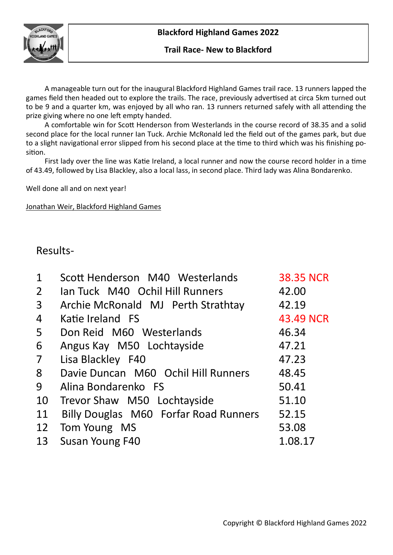**Blackford Highland Games 2022**



**Trail Race- New to Blackford**

A manageable turn out for the inaugural Blackford Highland Games trail race. 13 runners lapped the games field then headed out to explore the trails. The race, previously advertised at circa 5km turned out to be 9 and a quarter km, was enjoyed by all who ran. 13 runners returned safely with all attending the prize giving where no one left empty handed.

A comfortable win for Scott Henderson from Westerlands in the course record of 38.35 and a solid second place for the local runner Ian Tuck. Archie McRonald led the field out of the games park, but due to a slight navigational error slipped from his second place at the time to third which was his finishing position.

First lady over the line was Katie Ireland, a local runner and now the course record holder in a time of 43.49, followed by Lisa Blackley, also a local lass, in second place. Third lady was Alina Bondarenko.

Well done all and on next year!

Jonathan Weir, Blackford Highland Games

#### Results-

|                | Scott Henderson M40 Westerlands       |                  |
|----------------|---------------------------------------|------------------|
| $\mathbf 1$    |                                       | <b>38.35 NCR</b> |
| $\overline{2}$ | Ian Tuck M40 Ochil Hill Runners       | 42.00            |
| 3              | Archie McRonald MJ Perth Strathtay    | 42.19            |
| $\overline{4}$ | Katie Ireland FS                      | 43.49 NCR        |
| 5              | Don Reid M60 Westerlands              | 46.34            |
| 6              | Angus Kay M50 Lochtayside             | 47.21            |
| $\overline{7}$ | Lisa Blackley F40                     | 47.23            |
| 8              | Davie Duncan M60 Ochil Hill Runners   | 48.45            |
| 9              | Alina Bondarenko FS                   | 50.41            |
| 10             | Trevor Shaw M50 Lochtayside           | 51.10            |
| 11             | Billy Douglas M60 Forfar Road Runners | 52.15            |
| 12             | Tom Young MS                          | 53.08            |
| 13             | Susan Young F40                       | 1.08.17          |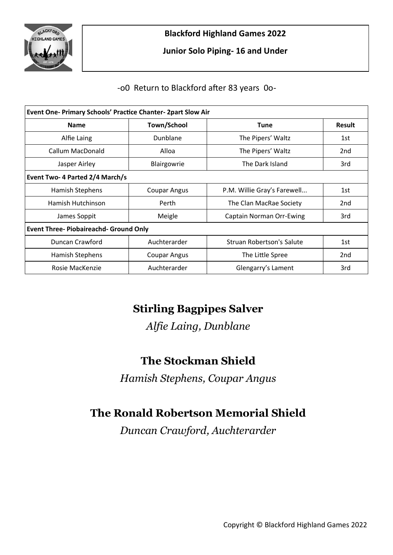

#### **Blackford Highland Games 2022**

#### **Junior Solo Piping- 16 and Under**

#### -o0 Return to Blackford after 83 years 0o-

| <b>Event One- Primary Schools' Practice Chanter- 2part Slow Air</b> |                                               |                                 |                 |  |  |
|---------------------------------------------------------------------|-----------------------------------------------|---------------------------------|-----------------|--|--|
| <b>Name</b>                                                         | Town/School                                   | <b>Tune</b>                     | Result          |  |  |
| Alfie Laing                                                         | Dunblane                                      | The Pipers' Waltz               | 1st             |  |  |
| Callum MacDonald                                                    | Alloa                                         | The Pipers' Waltz               | 2 <sub>nd</sub> |  |  |
| Jasper Airley                                                       | Blairgowrie                                   | The Dark Island                 | 3rd             |  |  |
| <b>Event Two-4 Parted 2/4 March/s</b>                               |                                               |                                 |                 |  |  |
| <b>Hamish Stephens</b>                                              | <b>Coupar Angus</b>                           | P.M. Willie Gray's Farewell     | 1st             |  |  |
| Hamish Hutchinson                                                   | Perth                                         | The Clan MacRae Society         | 2 <sub>nd</sub> |  |  |
| James Soppit                                                        | Meigle                                        | Captain Norman Orr-Ewing<br>3rd |                 |  |  |
|                                                                     | <b>Event Three- Piobaireachd- Ground Only</b> |                                 |                 |  |  |
| Duncan Crawford                                                     | Auchterarder                                  | Struan Robertson's Salute       | 1st             |  |  |
| Hamish Stephens                                                     | <b>Coupar Angus</b>                           | The Little Spree                | 2 <sub>nd</sub> |  |  |
| Rosie MacKenzie                                                     | Auchterarder                                  | Glengarry's Lament              | 3rd             |  |  |

# **Stirling Bagpipes Salver**

*Alfie Laing, Dunblane*

## **The Stockman Shield**

*Hamish Stephens, Coupar Angus*

# **The Ronald Robertson Memorial Shield**

*Duncan Crawford, Auchterarder*